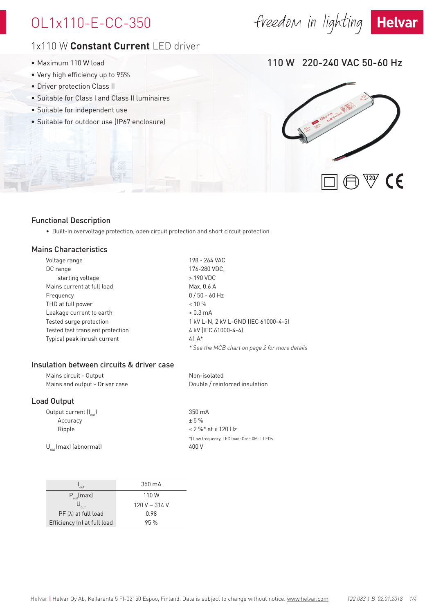# OL1x110-E-CC-350

### 1x110 W **Constant Current** LED driver

- Maximum 110 W load
- Very high efficiency up to 95%
- Driver protection Class II
- Suitable for Class I and Class II luminaires
- Suitable for independent use
- Suitable for outdoor use (IP67 enclosure)

110 W 220-240 VAC 50-60 Hz



### Functional Description

• Built-in overvoltage protection, open circuit protection and short circuit protection

### Mains Characteristics

| Voltage range                    | 198 - 264 VAC                                  |
|----------------------------------|------------------------------------------------|
| DC range                         | 176-280 VDC,                                   |
| starting voltage                 | > 190 VDC                                      |
| Mains current at full load       | Max, $0.6$ A                                   |
| Frequency                        | $0/50 - 60$ Hz                                 |
| THD at full power                | $< 10 \%$                                      |
| Leakage current to earth         | $< 0.3 \text{ mA}$                             |
| Tested surge protection          | 1 kV L-N, 2 kV L-GND (IEC 61000-4-5)           |
| Tested fast transient protection | 4 kV (IEC 61000-4-4)                           |
| Typical peak inrush current      | $41A*$                                         |
|                                  | * See the MCB chart on page 2 for more details |
|                                  |                                                |

### Insulation between circuits & driver case

| Mains circuit - Output         | Non-isolated                   |
|--------------------------------|--------------------------------|
| Mains and output - Driver case | Double / reinforced insulation |

### Load Output

Output current  $[I_{out}]$  350 mA  $\text{Accuracy}$   $\pm$  5 %

Ripple  $\sim 2\%$  \* at  $\le 120$  Hz \*) Low frequency, LED load: Cree XM-L LEDs  $U_{\text{out}}$ (max) (abnormal)  $400 \text{ V}$ 

| out                         | $350 \text{ mA}$ |
|-----------------------------|------------------|
| $P_{\text{out}}$ (max)      | 110 W            |
| out                         | 120 V - 314 V    |
| $PF(\lambda)$ at full load  | 0.98             |
| Efficiency (n) at full load | 95%              |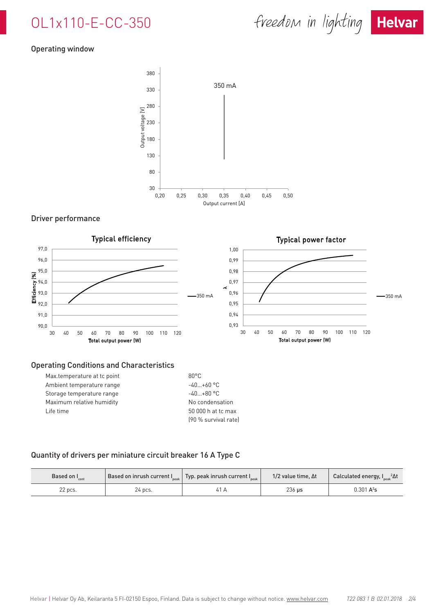# OL1x110-E-CC-350



### Operating window



### Driver performance



### Operating Conditions and Characteristics

| Max.temperature at tc point | $80^{\circ}$ C |
|-----------------------------|----------------|
| Ambient temperature range   | $-40+60$ °C    |
| Storage temperature range   | $-40+80 °C$    |
| Maximum relative humidity   | No condensa    |
| Life time                   | 50 000 h at t  |
|                             | $100%$ curvive |

### ensation at tc max (90 % survival rate)

### Quantity of drivers per miniature circuit breaker 16 A Type C

| Based on $I_{\hbox{\tiny{cont}}}$ |         | $\big\vert$ Based on inrush current I $_{\tiny{\sf peak}}\big\vert$ Typ. peak inrush current I $_{\tiny{\sf peak}}$ | $1/2$ value time. $\Delta t$ | Calculated energy, $I_{\text{peak}}^2 \Delta t$ |
|-----------------------------------|---------|---------------------------------------------------------------------------------------------------------------------|------------------------------|-------------------------------------------------|
| 22 pcs.                           | 24 pcs. | 41 A                                                                                                                | $236$ us                     | $0.301 A^2s$                                    |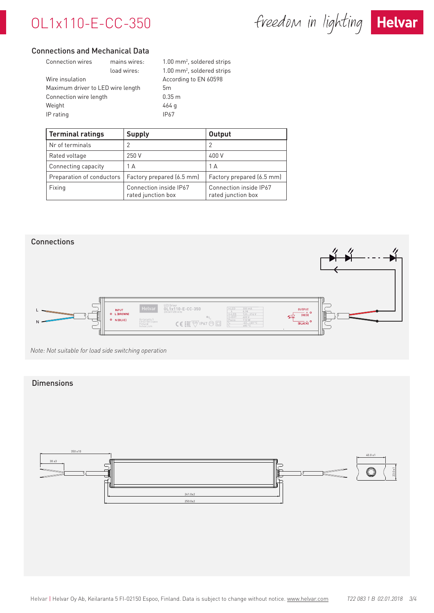# OL1x110-E-CC-350

freedom in lighting Helvar



### Connections and Mechanical Data

| <b>Connection wires</b>           | mains wires: | $1.00$ mm <sup>2</sup> , soldered strips |
|-----------------------------------|--------------|------------------------------------------|
|                                   | load wires:  | $1.00$ mm <sup>2</sup> , soldered strips |
| Wire insulation                   |              | According to EN 60598                    |
| Maximum driver to LED wire length |              | 5m                                       |
| Connection wire length            |              | 0.35 m                                   |
| Weight                            |              | 464 g                                    |
| IP rating                         |              | <b>IP67</b>                              |

| <b>Terminal ratings</b>   | <b>Supply</b>                                | <b>Output</b>                                |
|---------------------------|----------------------------------------------|----------------------------------------------|
| Nr of terminals           |                                              |                                              |
| Rated voltage             | 250 V                                        | 400 V                                        |
| Connecting capacity       | 1 A                                          | 1 A                                          |
| Preparation of conductors | Factory prepared (6.5 mm)                    | Factory prepared (6.5 mm)                    |
| Fixing                    | Connection inside IP67<br>rated junction box | Connection inside IP67<br>rated junction box |



*Note: Not suitable for load side switching operation*